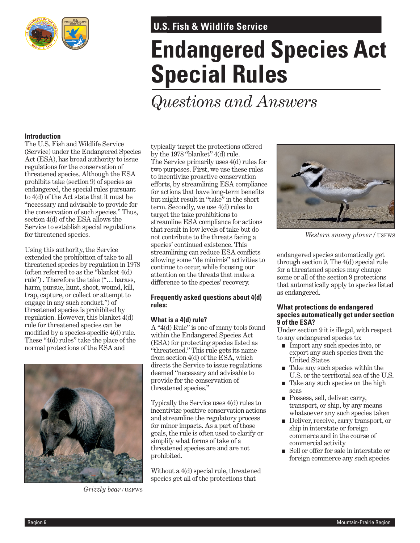

### **U.S. Fish & Wildlife Service U.S. Fish & Wildlife Service**

# **Endangered Species Act Special Rules**

## *Questions and Answers*

#### **Introduction**

The U.S. Fish and Wildlife Service (Service) under the Endangered Species Act (ESA), has broad authority to issue regulations for the conservation of threatened species. Although the ESA prohibits take (section 9) of species as endangered, the special rules pursuant to 4(d) of the Act state that it must be "necessary and advisable to provide for the conservation of such species." Thus, section 4(d) of the ESA allows the Service to establish special regulations for threatened species.

Using this authority, the Service extended the prohibition of take to all threatened species by regulation in 1978 (often referred to as the "blanket 4(d) rule") . Therefore the take ("… harass, harm, pursue, hunt, shoot, wound, kill, trap, capture, or collect or attempt to engage in any such conduct.") of threatened species is prohibited by regulation. However, this blanket 4(d) rule for threatened species can be modified by a species-specific 4(d) rule. These "4(d) rules" take the place of the normal protections of the ESA and



*Grizzly bear /* USFWS

typically target the protections offered by the 1978 "blanket" 4(d) rule. The Service primarily uses 4(d) rules for two purposes. First, we use these rules to incentivize proactive conservation efforts, by streamlining ESA compliance for actions that have long-term benefits but might result in "take" in the short term. Secondly, we use 4(d) rules to target the take prohibitions to streamline ESA compliance for actions that result in low levels of take but do not contribute to the threats facing a species' continued existence. This streamlining can reduce ESA conflicts allowing some "de minimis" activities to continue to occur, while focusing our attention on the threats that make a difference to the species' recovery.

#### **Frequently asked questions about 4(d) rules:**

#### **What is a 4(d) rule?**

A "4(d) Rule" is one of many tools found within the Endangered Species Act (ESA) for protecting species listed as "threatened." This rule gets its name from section 4(d) of the ESA, which directs the Service to issue regulations deemed "necessary and advisable to provide for the conservation of threatened species."

Typically the Service uses 4(d) rules to incentivize positive conservation actions and streamline the regulatory process for minor impacts. As a part of those goals, the rule is often used to clarify or simplify what forms of take of a threatened species are and are not prohibited.

Without a 4(d) special rule, threatened species get all of the protections that



*Western snowy plover /* USFWS

endangered species automatically get through section 9. The 4(d) special rule for a threatened species may change some or all of the section 9 protections that automatically apply to species listed as endangered.

#### **What protections do endangered species automatically get under section 9 of the ESA?**

Under section 9 it is illegal, with respect to any endangered species to:

- Import any such species into, or export any such species from the United States
- Take any such species within the U.S. or the territorial sea of the U.S.
- Take any such species on the high seas
- Possess, sell, deliver, carry, transport, or ship, by any means whatsoever any such species taken
- Deliver, receive, carry transport, or ship in interstate or foreign commerce and in the course of commercial activity
- Sell or offer for sale in interstate or foreign commerce any such species